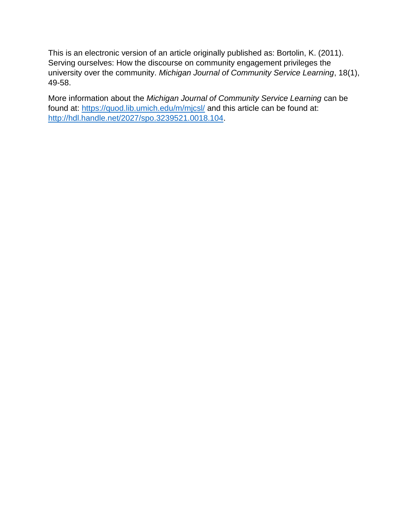This is an electronic version of an article originally published as: Bortolin, K. (2011). Serving ourselves: How the discourse on community engagement privileges the university over the community. *Michigan Journal of Community Service Learning*, 18(1), 49-58.

More information about the *Michigan Journal of Community Service Learning* can be found at:<https://quod.lib.umich.edu/m/mjcsl/> and this article can be found at: [http://hdl.handle.net/2027/spo.3239521.0018.104.](http://hdl.handle.net/2027/spo.3239521.0018.104)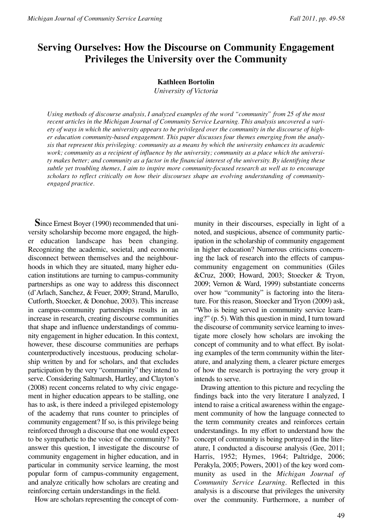# **Serving Ourselves: How the Discourse on Community Engagement Privileges the University over the Community**

#### **Kathleen Bortolin**

*University of Victoria*

*Using methods of discourse analysis, I analyzed examples of the word "community" from 25 of the most recent articles in the Michigan Journal of Community Service Learning. This analysis uncovered a variety of ways in which the university appears to be privileged over the community in the discourse of higher education community-based engagement. This paper discusses four themes emerging from the analysis that represent this privileging: community as a means by which the university enhances its academic work; community as a recipient of influence by the university; community as a place which the university makes better; and community as a factor in the financial interest of the university. By identifying these subtle yet troubling themes, I aim to inspire more community-focused research as well as to encourage scholars to reflect critically on how their discourses shape an evolving understanding of communityengaged practice.* 

**S**ince Ernest Boyer (1990) recommended that university scholarship become more engaged, the higher education landscape has been changing. Recognizing the academic, societal, and economic disconnect between themselves and the neighbourhoods in which they are situated, many higher education institutions are turning to campus-community partnerships as one way to address this disconnect (d'Arlach, Sanchez, & Feuer, 2009; Strand, Marullo, Cutforth, Stoecker, & Donohue, 2003). This increase in campus-community partnerships results in an increase in research, creating discourse communities that shape and influence understandings of community engagement in higher education. In this context, however, these discourse communities are perhaps counterproductively incestuous, producing scholarship written by and for scholars, and that excludes participation by the very "community" they intend to serve. Considering Saltmarsh, Hartley, and Clayton's (2008) recent concerns related to why civic engagement in higher education appears to be stalling, one has to ask, is there indeed a privileged epistemology of the academy that runs counter to principles of community engagement? If so, is this privilege being reinforced through a discourse that one would expect to be sympathetic to the voice of the community? To answer this question, I investigate the discourse of community engagement in higher education, and in particular in community service learning, the most popular form of campus-community engagement, and analyze critically how scholars are creating and reinforcing certain understandings in the field.

How are scholars representing the concept of com-

munity in their discourses, especially in light of a noted, and suspicious, absence of community participation in the scholarship of community engagement in higher education? Numerous criticisms concerning the lack of research into the effects of campuscommunity engagement on communities (Giles &Cruz, 2000; Howard, 2003; Stoecker & Tryon, 2009; Vernon & Ward, 1999) substantiate concerns over how "community" is factoring into the literature. For this reason, Stoecker and Tryon (2009) ask, "Who is being served in community service learning?" (p. 5). With this question in mind, I turn toward the discourse of community service learning to investigate more closely how scholars are invoking the concept of community and to what effect. By isolating examples of the term community within the literature, and analyzing them, a clearer picture emerges of how the research is portraying the very group it intends to serve.

Drawing attention to this picture and recycling the findings back into the very literature I analyzed, I intend to raise a critical awareness within the engagement community of how the language connected to the term community creates and reinforces certain understandings. In my effort to understand how the concept of community is being portrayed in the literature, I conducted a discourse analysis (Gee, 2011; Harris, 1952; Hymes, 1964; Paltridge, 2006; Perakyla, 2005; Powers, 2001) of the key word community as used in the *Michigan Journal of Community Service Learning*. Reflected in this analysis is a discourse that privileges the university over the community. Furthermore, a number of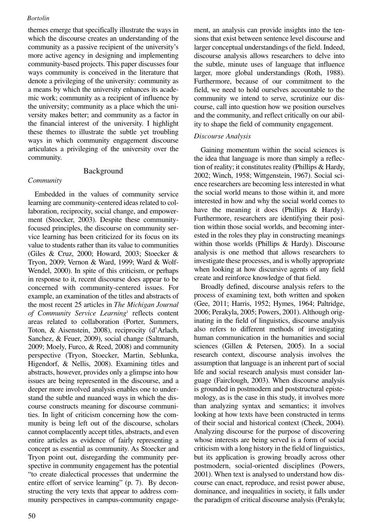themes emerge that specifically illustrate the ways in which the discourse creates an understanding of the community as a passive recipient of the university's more active agency in designing and implementing community-based projects. This paper discusses four ways community is conceived in the literature that denote a privileging of the university: community as a means by which the university enhances its academic work; community as a recipient of influence by the university; community as a place which the university makes better; and community as a factor in the financial interest of the university. I highlight these themes to illustrate the subtle yet troubling ways in which community engagement discourse articulates a privileging of the university over the community.

# Background

# *Community*

Embedded in the values of community service learning are community-centered ideas related to collaboration, reciprocity, social change, and empowerment (Stoecker, 2003). Despite these communityfocused principles, the discourse on community service learning has been criticized for its focus on its value to students rather than its value to communities (Giles & Cruz, 2000; Howard, 2003; Stoecker & Tryon, 2009; Vernon & Ward, 1999; Ward & Wolf-Wendel, 2000). In spite of this criticism, or perhaps in response to it, recent discourse does appear to be concerned with community-centered issues. For example, an examination of the titles and abstracts of the most recent 25 articles in *The Michigan Journal of Community Service Learning*<sup>1</sup> reflects content areas related to collaboration (Porter, Summers, Toton, & Aisenstein, 2008), reciprocity (d'Arlach, Sanchez, & Feuer, 2009), social change (Saltmarsh, 2009; Moely, Furco, & Reed, 2008) and community perspective (Tryon, Stoecker, Martin, Seblunka, Higendorf, & Nellis, 2008). Examining titles and abstracts, however, provides only a glimpse into how issues are being represented in the discourse, and a deeper more involved analysis enables one to understand the subtle and nuanced ways in which the discourse constructs meaning for discourse communities. In light of criticism concerning how the community is being left out of the discourse, scholars cannot complacently accept titles, abstracts, and even entire articles as evidence of fairly representing a concept as essential as community. As Stoecker and Tryon point out, disregarding the community perspective in community engagement has the potential "to create dialectical processes that undermine the entire effort of service learning" (p. 7). By deconstructing the very texts that appear to address community perspectives in campus-community engagement, an analysis can provide insights into the tensions that exist between sentence level discourse and larger conceptual understandings of the field. Indeed, discourse analysis allows researchers to delve into the subtle, minute uses of language that influence larger, more global understandings (Roth, 1988). Furthermore, because of our commitment to the field, we need to hold ourselves accountable to the community we intend to serve, scrutinize our discourse, call into question how we position ourselves and the community, and reflect critically on our ability to shape the field of community engagement.

# *Discourse Analysis*

Gaining momentum within the social sciences is the idea that language is more than simply a reflection of reality; it constitutes reality (Phillips & Hardy, 2002; Winch, 1958; Wittgenstein, 1967). Social science researchers are becoming less interested in what the social world means to those within it, and more interested in how and why the social world comes to have the meaning it does (Phillips & Hardy). Furthermore, researchers are identifying their position within those social worlds, and becoming interested in the roles they play in constructing meanings within those worlds (Phillips & Hardy). Discourse analysis is one method that allows researchers to investigate these processes, and is wholly appropriate when looking at how discursive agents of any field create and reinforce knowledge of that field.

Broadly defined, discourse analysis refers to the process of examining text, both written and spoken (Gee, 2011; Harris, 1952; Hymes, 1964; Paltridge, 2006; Perakyla, 2005; Powers, 2001). Although originating in the field of linguistics, discourse analysis also refers to different methods of investigating human communication in the humanities and social sciences (Gillen & Petersen, 2005). In a social research context, discourse analysis involves the assumption that language is an inherent part of social life and social research analysis must consider language (Fairclough, 2003). When discourse analysis is grounded in postmodern and poststructural epistemology, as is the case in this study, it involves more than analyzing syntax and semantics; it involves looking at how texts have been constructed in terms of their social and historical context (Cheek, 2004). Analyzing discourse for the purpose of discovering whose interests are being served is a form of social criticism with a long history in the field of linguistics, but its application is growing broadly across other postmodern, social-oriented disciplines (Powers, 2001). When text is analysed to understand how discourse can enact, reproduce, and resist power abuse, dominance, and inequalities in society, it falls under the paradigm of critical discourse analysis (Perakyla;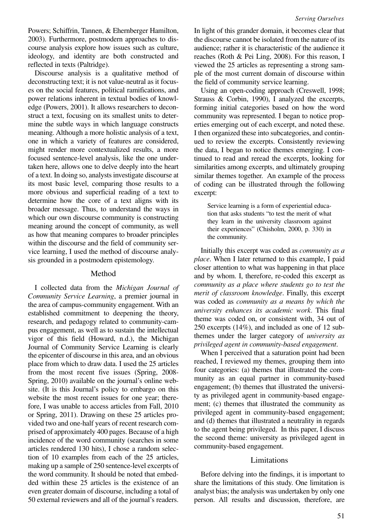Powers; Schiffrin, Tannen, & Ehernberger Hamilton, 2003). Furthermore, postmodern approaches to discourse analysis explore how issues such as culture, ideology, and identity are both constructed and reflected in texts (Paltridge).

Discourse analysis is a qualitative method of deconstructing text; it is not value-neutral as it focuses on the social features, political ramifications, and power relations inherent in textual bodies of knowledge (Powers, 2001). It allows researchers to deconstruct a text, focusing on its smallest units to determine the subtle ways in which language constructs meaning. Although a more holistic analysis of a text, one in which a variety of features are considered, might render more contextualized results, a more focused sentence-level analysis, like the one undertaken here, allows one to delve deeply into the heart of a text. In doing so, analysts investigate discourse at its most basic level, comparing those results to a more obvious and superficial reading of a text to determine how the core of a text aligns with its broader message. Thus, to understand the ways in which our own discourse community is constructing meaning around the concept of community, as well as how that meaning compares to broader principles within the discourse and the field of community service learning, I used the method of discourse analysis grounded in a postmodern epistemology.

## Method

I collected data from the *Michigan Journal of Community Service Learning*, a premier journal in the area of campus-community engagement. With an established commitment to deepening the theory, research, and pedagogy related to community-campus engagement, as well as to sustain the intellectual vigor of this field (Howard, n.d.), the Michigan Journal of Community Service Learning is clearly the epicenter of discourse in this area, and an obvious place from which to draw data. I used the 25 articles from the most recent five issues (Spring, 2008- Spring, 2010) available on the journal's online website. (It is this Journal's policy to embargo on this website the most recent issues for one year; therefore, I was unable to access articles from Fall, 2010 or Spring, 2011). Drawing on these 25 articles provided two and one-half years of recent research comprised of approximately 400 pages. Because of a high incidence of the word community (searches in some articles rendered 130 hits), I chose a random selection of 10 examples from each of the 25 articles, making up a sample of 250 sentence-level excerpts of the word community. It should be noted that embedded within these 25 articles is the existence of an even greater domain of discourse, including a total of 50 external reviewers and all of the journal's readers.

In light of this grander domain, it becomes clear that the discourse cannot be isolated from the nature of its audience; rather it is characteristic of the audience it reaches (Roth & Pei Ling, 2008). For this reason, I viewed the 25 articles as representing a strong sample of the most current domain of discourse within the field of community service learning.

Using an open-coding approach (Creswell, 1998; Strauss & Corbin, 1990), I analyzed the excerpts, forming initial categories based on how the word community was represented. I began to notice properties emerging out of each excerpt, and noted these. I then organized these into subcategories, and continued to review the excerpts. Consistently reviewing the data, I began to notice themes emerging. I continued to read and reread the excerpts, looking for similarities among excerpts, and ultimately grouping similar themes together. An example of the process of coding can be illustrated through the following excerpt:

Service learning is a form of experiential education that asks students "to test the merit of what they learn in the university classroom against their experiences" (Chisholm, 2000, p. 330) in the community.

Initially this excerpt was coded as *community as a place*. When I later returned to this example, I paid closer attention to what was happening in that place and by whom. I, therefore, re-coded this excerpt as *community as a place where students go to test the merit of classroom knowledge*. Finally, this excerpt was coded as *community as a means by which the university enhances its academic work.* This final theme was coded on, or consistent with, 34 out of 250 excerpts (14%), and included as one of 12 subthemes under the larger category of *university as privileged agent in community-based engagement*.

When I perceived that a saturation point had been reached, I reviewed my themes, grouping them into four categories: (a) themes that illustrated the community as an equal partner in community-based engagement; (b) themes that illustrated the university as privileged agent in community-based engagement; (c) themes that illustrated the community as privileged agent in community-based engagement; and (d) themes that illustrated a neutrality in regards to the agent being privileged. In this paper, I discuss the second theme: university as privileged agent in community-based engagement.

## Limitations

Before delving into the findings, it is important to share the limitations of this study. One limitation is analyst bias; the analysis was undertaken by only one person. All results and discussion, therefore, are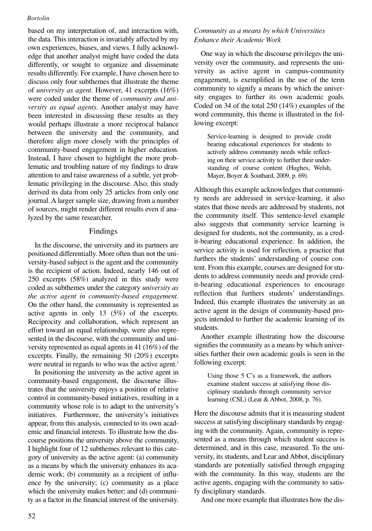based on my interpretation of, and interaction with, the data. This interaction is invariably affected by my own experiences, biases, and views. I fully acknowledge that another analyst might have coded the data differently, or sought to organize and disseminate results differently. For example, I have chosen here to discuss only four subthemes that illustrate the theme of *university as agent*. However, 41 excerpts (16%) were coded under the theme of *community and university as equal agents*. Another analyst may have been interested in discussing these results as they would perhaps illustrate a more reciprocal balance between the university and the community, and therefore align more closely with the principles of community-based engagement in higher education. Instead, I have chosen to highlight the more problematic and troubling nature of my findings to draw attention to and raise awareness of a subtle, yet problematic privileging in the discourse. Also, this study derived its data from only 25 articles from only one journal. A larger sample size, drawing from a number of sources, might render different results even if analyzed by the same researcher.

# Findings

In the discourse, the university and its partners are positioned differentially. More often than not the university-based subject is the agent and the community is the recipient of action. Indeed, nearly 146 out of 250 excerpts (58%) analyzed in this study were coded as subthemes under the category *university as the active agent in community-based engagement*. On the other hand, the community is represented as active agents in only 13 (5%) of the excerpts. Reciprocity and collaboration, which represent an effort toward an equal relationship, were also represented in the discourse, with the community and university represented as equal agents in 41 (16%) of the excerpts. Finally, the remaining 50 (20%) excerpts were neutral in regards to who was the active agent.<sup>2</sup>

In positioning the university as the active agent in community-based engagement, the discourse illustrates that the university enjoys a position of relative control in community-based initiatives, resulting in a community whose role is to adapt to the university's initiatives. Furthermore, the university's initiatives appear, from this analysis, connected to its own academic and financial interests. To illustrate how the discourse positions the university above the community, I highlight four of 12 subthemes relevant to this category of university as the active agent: (a) community as a means by which the university enhances its academic work; (b) community as a recipient of influence by the university; (c) community as a place which the university makes better; and (d) community as a factor in the financial interest of the university.

# *Community as a means by which Universities Enhance their Academic Work*

One way in which the discourse privileges the university over the community, and represents the university as active agent in campus-community engagement, is exemplified in the use of the term community to signify a means by which the university engages to further its own academic goals. Coded on 34 of the total 250 (14%) examples of the word community, this theme is illustrated in the following excerpt:

Service-learning is designed to provide credit bearing educational experiences for students to actively address community needs while reflecting on their service activity to further their understanding of course content (Hughes, Welsh, Mayer, Boyer & Southard, 2009, p. 69).

Although this example acknowledges that community needs are addressed in service-learning, it also states that those needs are addressed by students, not the community itself. This sentence-level example also suggests that community service learning is designed for students, not the community, as a credit-bearing educational experience. In addition, the service activity is used for reflection, a practice that furthers the students' understanding of course content. From this example, courses are designed for students to address community needs and provide credit-bearing educational experiences to encourage reflection that furthers students' understandings. Indeed, this example illustrates the university as an active agent in the design of community-based projects intended to further the academic learning of its students.

Another example illustrating how the discourse signifies the community as a means by which universities further their own academic goals is seen in the following excerpt:

Using those 5 C's as a framework, the authors examine student success at satisfying those disciplinary standards through community service learning (CSL) (Lear & Abbot, 2008, p. 76).

Here the discourse admits that it is measuring student success at satisfying disciplinary standards by engaging with the community. Again, community is represented as a means through which student success is determined, and in this case, measured. To the university, its students, and Lear and Abbot, disciplinary standards are potentially satisfied through engaging with the community. In this way, students are the active agents, engaging with the community to satisfy disciplinary standards.

And one more example that illustrates how the dis-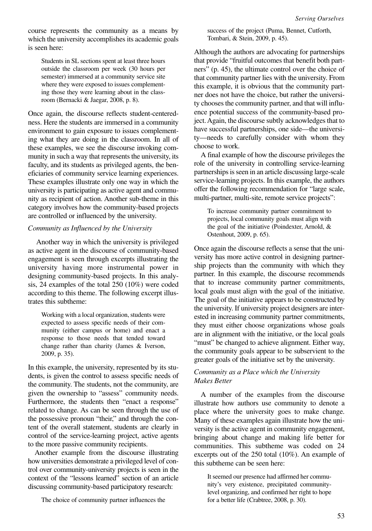course represents the community as a means by which the university accomplishes its academic goals is seen here:

Students in SL sections spent at least three hours outside the classroom per week (30 hours per semester) immersed at a community service site where they were exposed to issues complementing those they were learning about in the classroom (Bernacki & Jaegar, 2008, p. 8).

Once again, the discourse reflects student-centeredness. Here the students are immersed in a community environment to gain exposure to issues complementing what they are doing in the classroom. In all of these examples, we see the discourse invoking community in such a way that represents the university, its faculty, and its students as privileged agents, the beneficiaries of community service learning experiences. These examples illustrate only one way in which the university is participating as active agent and community as recipient of action. Another sub-theme in this category involves how the community-based projects are controlled or influenced by the university.

## *Community as Influenced by the University*

Another way in which the university is privileged as active agent in the discourse of community-based engagement is seen through excerpts illustrating the university having more instrumental power in designing community-based projects. In this analysis, 24 examples of the total 250 (10%) were coded according to this theme. The following excerpt illustrates this subtheme:

Working with a local organization, students were expected to assess specific needs of their community (either campus or home) and enact a response to those needs that tended toward change rather than charity (James & Iverson, 2009, p. 35).

In this example, the university, represented by its students, is given the control to assess specific needs of the community. The students, not the community, are given the ownership to "assess" community needs. Furthermore, the students then "enact a response" related to change. As can be seen through the use of the possessive pronoun "their," and through the content of the overall statement, students are clearly in control of the service-learning project, active agents to the more passive community recipients.

Another example from the discourse illustrating how universities demonstrate a privileged level of control over community-university projects is seen in the context of the "lessons learned" section of an article discussing community-based participatory research:

The choice of community partner influences the

success of the project (Puma, Bennet, Cutforth, Tombari, & Stein, 2009, p. 45).

Although the authors are advocating for partnerships that provide "fruitful outcomes that benefit both partners" (p. 45), the ultimate control over the choice of that community partner lies with the university. From this example, it is obvious that the community partner does not have the choice, but rather the university chooses the community partner, and that will influence potential success of the community-based project. Again, the discourse subtly acknowledges that to have successful partnerships, one side—the university—needs to carefully consider with whom they choose to work.

A final example of how the discourse privileges the role of the university in controlling service-learning partnerships is seen in an article discussing large-scale service-learning projects. In this example, the authors offer the following recommendation for "large scale, multi-partner, multi-site, remote service projects":

To increase community partner commitment to projects, local community goals must align with the goal of the initiative (Poindexter, Arnold, & Ostenhout, 2009, p. 65).

Once again the discourse reflects a sense that the university has more active control in designing partnership projects than the community with which they partner. In this example, the discourse recommends that to increase community partner commitments, local goals must align with the goal of the initiative. The goal of the initiative appears to be constructed by the university. If university project designers are interested in increasing community partner commitments, they must either choose organizations whose goals are in alignment with the initiative, or the local goals "must" be changed to achieve alignment. Either way, the community goals appear to be subservient to the greater goals of the initiative set by the university.

# *Community as a Place which the University Makes Better*

A number of the examples from the discourse illustrate how authors use community to denote a place where the university goes to make change. Many of these examples again illustrate how the university is the active agent in community engagement, bringing about change and making life better for communities. This subtheme was coded on 24 excerpts out of the 250 total (10%). An example of this subtheme can be seen here:

It seemed our presence had affirmed her community's very existence, precipitated communitylevel organizing, and confirmed her right to hope for a better life (Crabtree, 2008, p. 30).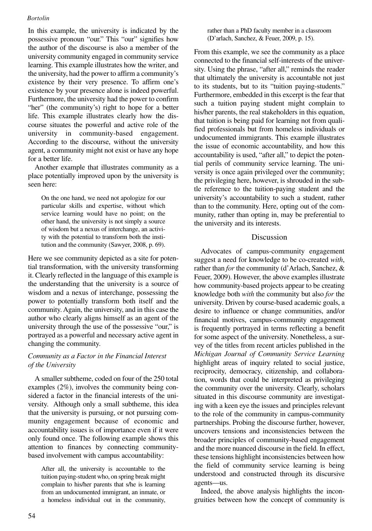In this example, the university is indicated by the possessive pronoun "our." This "our" signifies how the author of the discourse is also a member of the university community engaged in community service learning. This example illustrates how the writer, and the university, had the power to affirm a community's existence by their very presence. To affirm one's existence by your presence alone is indeed powerful. Furthermore, the university had the power to confirm "her" (the community's) right to hope for a better life. This example illustrates clearly how the discourse situates the powerful and active role of the university in community-based engagement. According to the discourse, without the university agent, a community might not exist or have any hope for a better life.

Another example that illustrates community as a place potentially improved upon by the university is seen here:

On the one hand, we need not apologize for our particular skills and expertise, without which service learning would have no point; on the other hand, the university is not simply a source of wisdom but a nexus of interchange, an activity with the potential to transform both the institution and the community (Sawyer, 2008, p. 69).

Here we see community depicted as a site for potential transformation, with the university transforming it. Clearly reflected in the language of this example is the understanding that the university is a source of wisdom and a nexus of interchange, possessing the power to potentially transform both itself and the community. Again, the university, and in this case the author who clearly aligns himself as an agent of the university through the use of the possessive "our," is portrayed as a powerful and necessary active agent in changing the community.

# *Community as a Factor in the Financial Interest of the University*

A smaller subtheme, coded on four of the 250 total examples (2%), involves the community being considered a factor in the financial interests of the university. Although only a small subtheme, this idea that the university is pursuing, or not pursuing community engagement because of economic and accountability issues is of importance even if it were only found once. The following example shows this attention to finances by connecting communitybased involvement with campus accountability:

After all, the university is accountable to the tuition paying-student who, on spring break might complain to his/her parents that s/he is learning from an undocumented immigrant, an inmate, or a homeless individual out in the community, rather than a PhD faculty member in a classroom (D'arlach, Sanchez, & Feuer, 2009, p. 15).

From this example, we see the community as a place connected to the financial self-interests of the university. Using the phrase, "after all," reminds the reader that ultimately the university is accountable not just to its students, but to its "tuition paying-students." Furthermore, embedded in this excerpt is the fear that such a tuition paying student might complain to his/her parents, the real stakeholders in this equation, that tuition is being paid for learning not from qualified professionals but from homeless individuals or undocumented immigrants. This example illustrates the issue of economic accountability, and how this accountability is used, "after all," to depict the potential perils of community service learning. The university is once again privileged over the community; the privileging here, however, is shrouded in the subtle reference to the tuition-paying student and the university's accountability to such a student, rather than to the community. Here, opting out of the community, rather than opting in, may be preferential to the university and its interests.

# Discussion

Advocates of campus-community engagement suggest a need for knowledge to be co-created *with*, rather than *for* the community (d'Arlach, Sanchez, & Feuer, 2009). However, the above examples illustrate how community-based projects appear to be creating knowledge both *with* the community but also *for* the university. Driven by course-based academic goals, a desire to influence or change communities, and/or financial motives, campus-community engagement is frequently portrayed in terms reflecting a benefit for some aspect of the university. Nonetheless, a survey of the titles from recent articles published in the *Michigan Journal of Community Service Learning* highlight areas of inquiry related to social justice, reciprocity, democracy, citizenship, and collaboration, words that could be interpreted as privileging the community over the university. Clearly, scholars situated in this discourse community are investigating with a keen eye the issues and principles relevant to the role of the community in campus-community partnerships. Probing the discourse further, however, uncovers tensions and inconsistencies between the broader principles of community-based engagement and the more nuanced discourse in the field. In effect, these tensions highlight inconsistencies between how the field of community service learning is being understood and constructed through its discursive agents—us.

Indeed, the above analysis highlights the incongruities between how the concept of community is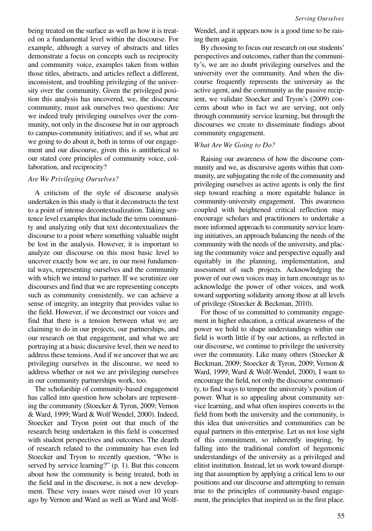being treated on the surface as well as how it is treated on a fundamental level within the discourse. For example, although a survey of abstracts and titles demonstrate a focus on concepts such as reciprocity and community voice, examples taken from within those titles, abstracts, and articles reflect a different, inconsistent, and troubling privileging of the university over the community. Given the privileged position this analysis has uncovered, we, the discourse community, must ask ourselves two questions: Are we indeed truly privileging ourselves over the community, not only in the discourse but in our approach to campus-community initiatives; and if so, what are we going to do about it, both in terms of our engagement and our discourse, given this is antithetical to our stated core principles of community voice, collaboration, and reciprocity?

#### *Are We Privileging Ourselves?*

A criticism of the style of discourse analysis undertaken in this study is that it deconstructs the text to a point of intense decontextualization. Taking sentence level examples that include the term community and analyzing only that text decontextualizes the discourse to a point where something valuable might be lost in the analysis. However, it is important to analyze our discourse on this most basic level to uncover exactly how we are, in our most fundamental ways, representing ourselves and the community with which we intend to partner. If we scrutinize our discourses and find that we are representing concepts such as community consistently, we can achieve a sense of integrity, an integrity that provides value to the field. However, if we deconstruct our voices and find that there is a tension between what we are claiming to do in our projects, our partnerships, and our research on that engagement, and what we are portraying at a basic discursive level, then we need to address these tensions. And if we uncover that we are privileging ourselves in the discourse, we need to address whether or not we are privileging ourselves in our community partnerships work, too.

The scholarship of community-based engagement has called into question how scholars are representing the community (Stoecker & Tyron, 2009; Vernon & Ward, 1999; Ward & Wolf Wendel, 2000). Indeed, Stoecker and Tryon point out that much of the research being undertaken in this field is concerned with student perspectives and outcomes. The dearth of research related to the community has even led Stoecker and Tryon to recently question, "Who is served by service learning?" (p. 1). But this concern about how the community is being treated, both in the field and in the discourse, is not a new development. These very issues were raised over 10 years ago by Vernon and Ward as well as Ward and Wolf-

Wendel, and it appears now is a good time to be raising them again.

By choosing to focus our research on our students' perspectives and outcomes, rather than the community's, we are no doubt privileging ourselves and the university over the community. And when the discourse frequently represents the university as the active agent, and the community as the passive recipient, we validate Stoecker and Tryon's (2009) concerns about who in fact we are serving, not only through community service learning, but through the discourses we create to disseminate findings about community engagement.

#### *What Are We Going to Do?*

Raising our awareness of how the discourse community and we, as discursive agents within that community, are subjugating the role of the community and privileging ourselves as active agents is only the first step toward reaching a more equitable balance in community-university engagement. This awareness coupled with heightened critical reflection may encourage scholars and practitioners to undertake a more informed approach to community service learning initiatives, an approach balancing the needs of the community with the needs of the university, and placing the community voice and perspective equally and equitably in the planning, implementation, and assessment of such projects. Acknowledging the power of our own voices may in turn encourage us to acknowledge the power of other voices, and work toward supporting solidarity among those at all levels of privilege (Stoecker & Beckman, 2010).

For those of us committed to community engagement in higher education, a critical awareness of the power we hold to shape understandings within our field is worth little if by our actions, as reflected in our discourse, we continue to privilege the university over the community. Like many others (Stoecker & Beckman, 2009; Stoecker & Tyron, 2009; Vernon & Ward, 1999; Ward & Wolf-Wendel, 2000), I want to encourage the field, not only the discourse community, to find ways to temper the university's position of power. What is so appealing about community service learning, and what often inspires converts to the field from both the university and the community, is this idea that universities and communities can be equal partners in this enterprise. Let us not lose sight of this commitment, so inherently inspiring, by falling into the traditional comfort of hegemonic understandings of the university as a privileged and elitist institution. Instead, let us work toward disrupting that assumption by applying a critical lens to our positions and our discourse and attempting to remain true to the principles of community-based engagement, the principles that inspired us in the first place.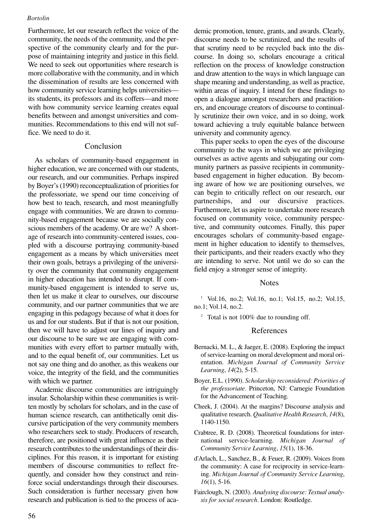Furthermore, let our research reflect the voice of the community, the needs of the community, and the perspective of the community clearly and for the purpose of maintaining integrity and justice in this field. We need to seek out opportunities where research is more collaborative with the community, and in which the dissemination of results are less concerned with how community service learning helps universities its students, its professors and its coffers—and more with how community service learning creates equal benefits between and amongst universities and communities. Recommendations to this end will not suffice. We need to do it.

# Conclusion

As scholars of community-based engagement in higher education, we are concerned with our students, our research, and our communities. Perhaps inspired by Boyer's (1990) reconceptualization of priorities for the professoriate, we spend our time conceiving of how best to teach, research, and most meaningfully engage with communities. We are drawn to community-based engagement because we are socially conscious members of the academy. Or are we? A shortage of research into community-centered issues, coupled with a discourse portraying community-based engagement as a means by which universities meet their own goals, betrays a privileging of the university over the community that community engagement in higher education has intended to disrupt. If community-based engagement is intended to serve us, then let us make it clear to ourselves, our discourse community, and our partner communities that we are engaging in this pedagogy because of what it does for us and for our students. But if that is not our position, then we will have to adjust our lines of inquiry and our discourse to be sure we are engaging with communities with every effort to partner mutually with, and to the equal benefit of, our communities. Let us not say one thing and do another, as this weakens our voice, the integrity of the field, and the communities with which we partner.

Academic discourse communities are intriguingly insular. Scholarship within these communities is written mostly by scholars for scholars, and in the case of human science research, can antithetically omit discursive participation of the very community members who researchers seek to study. Producers of research, therefore, are positioned with great influence as their research contributes to the understandings of their disciplines. For this reason, it is important for existing members of discourse communities to reflect frequently, and consider how they construct and reinforce social understandings through their discourses. Such consideration is further necessary given how research and publication is tied to the process of academic promotion, tenure, grants, and awards. Clearly, discourse needs to be scrutinized, and the results of that scrutiny need to be recycled back into the discourse. In doing so, scholars encourage a critical reflection on the process of knowledge construction and draw attention to the ways in which language can shape meaning and understanding, as well as practice, within areas of inquiry. I intend for these findings to open a dialogue amongst researchers and practitioners, and encourage creators of discourse to continually scrutinize their own voice, and in so doing, work toward achieving a truly equitable balance between university and community agency.

This paper seeks to open the eyes of the discourse community to the ways in which we are privileging ourselves as active agents and subjugating our community partners as passive recipients in communitybased engagement in higher education. By becoming aware of how we are positioning ourselves, we can begin to critically reflect on our research, our partnerships, and our discursive practices. Furthermore, let us aspire to undertake more research focused on community voice, community perspective, and community outcomes. Finally, this paper encourages scholars of community-based engagement in higher education to identify to themselves, their participants, and their readers exactly who they are intending to serve. Not until we do so can the field enjoy a stronger sense of integrity.

#### **Notes**

<sup>1</sup> Vol.16, no.2; Vol.16, no.1; Vol.15, no.2; Vol.15, no.1; Vol.14, no.2.

<sup>2</sup> Total is not 100% due to rounding off.

## References

- Bernacki, M. L., & Jaeger, E. (2008). Exploring the impact of service-learning on moral development and moral orientation. *Michigan Journal of Community Service Learning*, *14*(2), 5-15.
- Boyer, E.L. (1990). *Scholarship reconsidered: Priorities of the professoriate.* Princeton, NJ: Carnegie Foundation for the Advancement of Teaching.
- Cheek, J. (2004). At the margins? Discourse analysis and qualitative research. *Qualitative Health Research*, *14*(8), 1140-1150.
- Crabtree, R. D. (2008). Theoretical foundations for international service-learning. *Michigan Journal of Community Service Learning*, *15*(1), 18-36.
- d'Arlach, L., Sanchez, B., & Feuer, R. (2009). Voices from the community: A case for reciprocity in service-learning. *Michigan Journal of Community Service Learning*, *16*(1), 5-16.
- Fairclough, N. (2003). *Analysing discourse: Textual analysis for social research*. London: Routledge.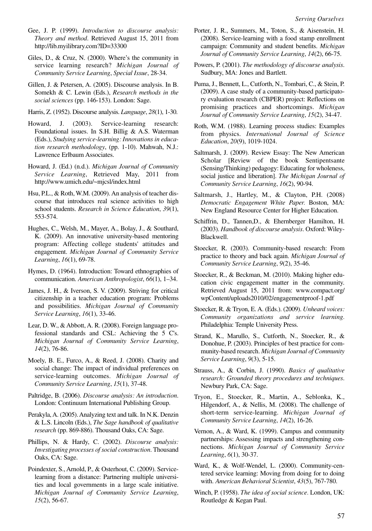- Gee, J. P. (1999). *Introduction to discourse analysis: Theory and method*. Retrieved August 15, 2011 from http://lib.myilibrary.com?ID=33300
- Giles, D., & Cruz, N. (2000). Where's the community in service learning research? *Michigan Journal of Community Service Learning*, *Special Issue*, 28-34.
- Gillen, J. & Petersen, A. (2005). Discourse analysis. In B. Somekh & C. Lewin (Eds.), *Research methods in the social sciences* (pp. 146-153). London: Sage.

Harris, Z. (1952). Discourse analysis. *Language*, *28*(1), 1-30.

- Howard, J. (2003). Service-learning research: Foundational issues. In S.H. Billig & A.S. Waterman (Eds.), *Studying service-learning: Innovations in education research methodology*, (pp. 1-10). Mahwah, N.J.: Lawrence Erlbaum Associates.
- Howard, J. (Ed.) (n.d.). *Michigan Journal of Community Service Learning*, Retrieved May, 2011 from http://www.umich.edu/~mjcsl/index.html
- Hsu, P.L., & Roth, W.M. (2009). An analysis of teacher discourse that introduces real science activities to high school students. *Research in Science Education*, *39*(1), 553-574.
- Hughes, C., Welsh, M., Mayer, A., Bolay, J., & Southard, K. (2009). An innovative university-based mentoring program: Affecting college students' attitudes and engagement. *Michigan Journal of Community Service Learning*, *16*(1), 69-78.
- Hymes, D. (1964). Introduction: Toward ethnographies of communication. *American Anthropologist*, *66*(1), 1–34.
- James, J. H., & Iverson, S. V. (2009). Striving for critical citizenship in a teacher education program: Problems and possibilities. *Michigan Journal of Community Service Learning*, *16*(1), 33-46.
- Lear, D. W., & Abbott, A. R. (2008). Foreign language professional standards and CSL: Achieving the 5 C's. *Michigan Journal of Community Service Learning*, *14*(2), 76-86.
- Moely, B. E., Furco, A., & Reed, J. (2008). Charity and social change: The impact of individual preferences on service-learning outcomes. *Michigan Journal of Community Service Learning*, *15*(1), 37-48.
- Paltridge, B. (2006). *Discourse analysis: An introduction*. London: Continuum International Publishing Group.
- Perakyla, A. (2005). Analyzing text and talk. In N.K. Denzin & L.S. Lincoln (Eds.), *The Sage handbook of qualitative research* (pp. 869-886). Thousand Oaks, CA: Sage.
- Phillips, N. & Hardy, C. (2002). *Discourse analysis: Investigating processes of social construction*. Thousand Oaks, CA: Sage.
- Poindexter, S., Arnold, P., & Osterhout, C. (2009). Servicelearning from a distance: Partnering multiple universities and local governments in a large scale initiative. *Michigan Journal of Community Service Learning*, *15*(2), 56-67.
- Porter, J. R., Summers, M., Toton, S., & Aisenstein, H. (2008). Service-learning with a food stamp enrollment campaign: Community and student benefits. *Michigan Journal of Community Service Learning*, *14*(2), 66-75.
- Powers, P. (2001). *The methodology of discourse analysis*. Sudbury, MA: Jones and Bartlett.
- Puma, J., Bennett, L., Cutforth, N., Tombari, C., & Stein, P. (2009). A case study of a community-based participatory evaluation research (CBPER) project: Reflections on promising practices and shortcomings. *Michigan Journal of Community Service Learning*, *15*(2), 34-47.
- Roth, W.M. (1988). Learning process studies: Examples from physics. *International Journal of Science Education*, *20*(9), 1019-1024.
- Saltmarsh, J. (2009). Review Essay: The New American Scholar [Review of the book Sentipentsante (Sensing/Thinking) pedagogy: Educating for wholeness, social justice and liberation]. *The Michigan Journal of Community Service Learning*, *16*(2), 90-94.
- Saltmarsh, J., Hartley, M., & Clayton, P.H. (2008) *Democratic Engagement White Paper.* Boston, MA: New England Resource Center for Higher Education.
- Schiffrin, D., Tannen,D., & Ehernberger Hamilton, H. (2003). *Handbook of discourse analysis*. Oxford: Wiley-Blackwell.
- Stoecker, R. (2003). Community-based research: From practice to theory and back again. *Michigan Journal of Community Service Learning*, *9*(2), 35-46.
- Stoecker, R., & Beckman, M. (2010). Making higher education civic engagement matter in the community. Retrieved August 15, 2011 from: www.compact.org/ wpContent/uploads2010/02/engagementproof-1.pdf
- Stoecker, R. & Tryon, E. A. (Eds.). (2009). *Unheard voices: Community organizations and service learning.* Philadelphia: Temple University Press.
- Strand, K., Marullo, S., Cutforth, N., Stoecker, R., & Donohue, P. (2003). Principles of best practice for community-based research. *Michigan Journal of Community Service Learning*, *9*(3), 5-15.
- Strauss, A., & Corbin, J. (1990). *Basics of qualitative research: Grounded theory procedures and techniques*. Newbury Park, CA: Sage.
- Tryon, E., Stoecker, R., Martin, A., Seblonka, K., Hilgendorf, A., & Nellis, M. (2008). The challenge of short-term service-learning. *Michigan Journal of Community Service Learning*, *14*(2), 16-26.
- Vernon, A., & Ward, K. (1999). Campus and community partnerships: Assessing impacts and strengthening connections. *Michigan Journal of Community Service Learning*, *6*(1), 30-37.
- Ward, K., & Wolf-Wendel, L. (2000). Community-centered service learning: Moving from doing for to doing with. *American Behavioral Scientist*, *43*(5), 767-780.
- Winch, P. (1958). *The idea of social science.* London, UK: Routledge & Kegan Paul.